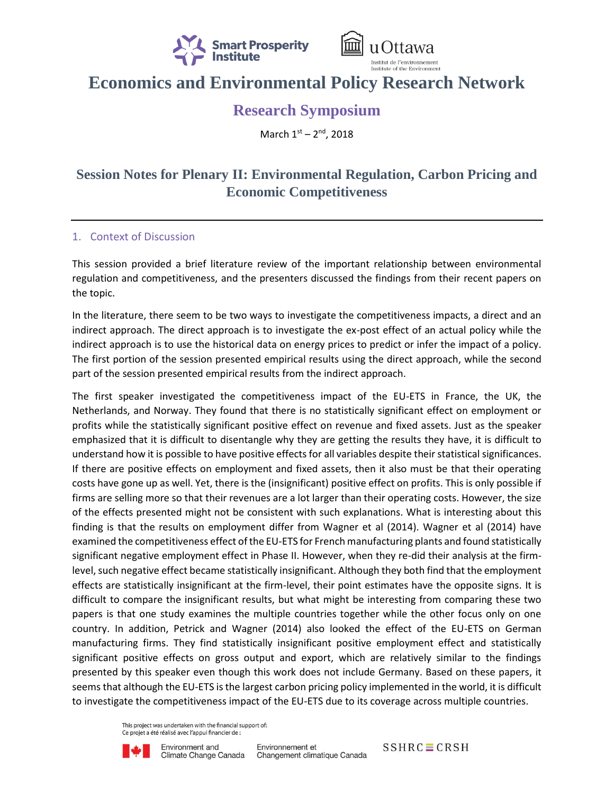



# **Economics and Environmental Policy Research Network**

## **Research Symposium**

March 1st - 2<sup>nd</sup>, 2018

### **Session Notes for Plenary II: Environmental Regulation, Carbon Pricing and Economic Competitiveness**

#### 1. Context of Discussion

This session provided a brief literature review of the important relationship between environmental regulation and competitiveness, and the presenters discussed the findings from their recent papers on the topic.

In the literature, there seem to be two ways to investigate the competitiveness impacts, a direct and an indirect approach. The direct approach is to investigate the ex-post effect of an actual policy while the indirect approach is to use the historical data on energy prices to predict or infer the impact of a policy. The first portion of the session presented empirical results using the direct approach, while the second part of the session presented empirical results from the indirect approach.

The first speaker investigated the competitiveness impact of the EU-ETS in France, the UK, the Netherlands, and Norway. They found that there is no statistically significant effect on employment or profits while the statistically significant positive effect on revenue and fixed assets. Just as the speaker emphasized that it is difficult to disentangle why they are getting the results they have, it is difficult to understand how it is possible to have positive effects for all variables despite their statistical significances. If there are positive effects on employment and fixed assets, then it also must be that their operating costs have gone up as well. Yet, there is the (insignificant) positive effect on profits. This is only possible if firms are selling more so that their revenues are a lot larger than their operating costs. However, the size of the effects presented might not be consistent with such explanations. What is interesting about this finding is that the results on employment differ from Wagner et al (2014). Wagner et al (2014) have examined the competitiveness effect of the EU-ETS for French manufacturing plants and found statistically significant negative employment effect in Phase II. However, when they re-did their analysis at the firmlevel, such negative effect became statistically insignificant. Although they both find that the employment effects are statistically insignificant at the firm-level, their point estimates have the opposite signs. It is difficult to compare the insignificant results, but what might be interesting from comparing these two papers is that one study examines the multiple countries together while the other focus only on one country. In addition, Petrick and Wagner (2014) also looked the effect of the EU-ETS on German manufacturing firms. They find statistically insignificant positive employment effect and statistically significant positive effects on gross output and export, which are relatively similar to the findings presented by this speaker even though this work does not include Germany. Based on these papers, it seems that although the EU-ETS is the largest carbon pricing policy implemented in the world, it is difficult to investigate the competitiveness impact of the EU-ETS due to its coverage across multiple countries.

> This project was undertaken with the financial support of: Ce projet a été réalisé avec l'appui financier de :



 $SSHRC \equiv CRSH$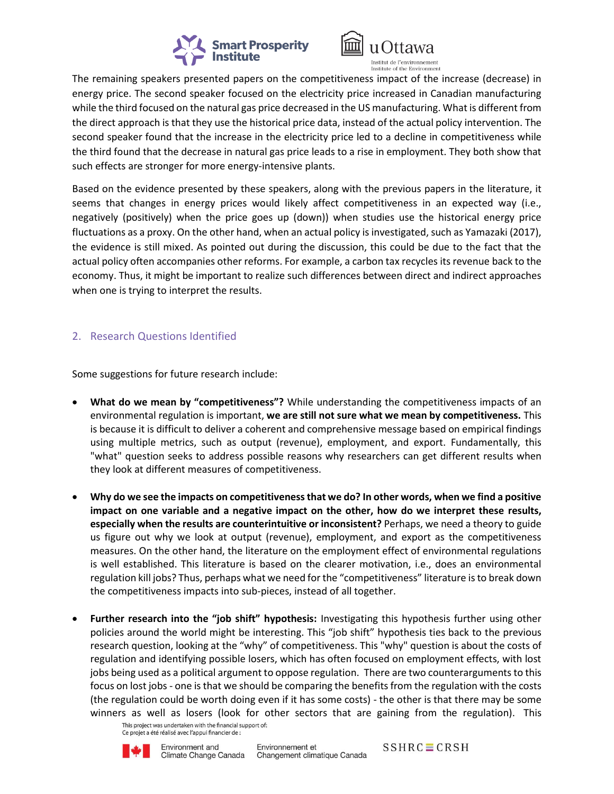



The remaining speakers presented papers on the competitiveness impact of the increase (decrease) in energy price. The second speaker focused on the electricity price increased in Canadian manufacturing while the third focused on the natural gas price decreased in the US manufacturing. What is different from the direct approach is that they use the historical price data, instead of the actual policy intervention. The second speaker found that the increase in the electricity price led to a decline in competitiveness while the third found that the decrease in natural gas price leads to a rise in employment. They both show that such effects are stronger for more energy-intensive plants.

Based on the evidence presented by these speakers, along with the previous papers in the literature, it seems that changes in energy prices would likely affect competitiveness in an expected way (i.e., negatively (positively) when the price goes up (down)) when studies use the historical energy price fluctuations as a proxy. On the other hand, when an actual policy is investigated, such as Yamazaki (2017), the evidence is still mixed. As pointed out during the discussion, this could be due to the fact that the actual policy often accompanies other reforms. For example, a carbon tax recycles its revenue back to the economy. Thus, it might be important to realize such differences between direct and indirect approaches when one is trying to interpret the results.

### 2. Research Questions Identified

Some suggestions for future research include:

- **What do we mean by "competitiveness"?** While understanding the competitiveness impacts of an environmental regulation is important, **we are still not sure what we mean by competitiveness.** This is because it is difficult to deliver a coherent and comprehensive message based on empirical findings using multiple metrics, such as output (revenue), employment, and export. Fundamentally, this "what" question seeks to address possible reasons why researchers can get different results when they look at different measures of competitiveness.
- **Why do we see the impacts on competitiveness that we do? In other words, when we find a positive impact on one variable and a negative impact on the other, how do we interpret these results, especially when the results are counterintuitive or inconsistent?** Perhaps, we need a theory to guide us figure out why we look at output (revenue), employment, and export as the competitiveness measures. On the other hand, the literature on the employment effect of environmental regulations is well established. This literature is based on the clearer motivation, i.e., does an environmental regulation kill jobs? Thus, perhaps what we need for the "competitiveness" literature is to break down the competitiveness impacts into sub-pieces, instead of all together.
- **Further research into the "job shift" hypothesis:** Investigating this hypothesis further using other policies around the world might be interesting. This "job shift" hypothesis ties back to the previous research question, looking at the "why" of competitiveness. This "why" question is about the costs of regulation and identifying possible losers, which has often focused on employment effects, with lost jobs being used as a political argument to oppose regulation. There are two counterarguments to this focus on lost jobs - one is that we should be comparing the benefits from the regulation with the costs (the regulation could be worth doing even if it has some costs) - the other is that there may be some winners as well as losers (look for other sectors that are gaining from the regulation). This

This project was undertaken with the financial support of: Ce projet a été réalisé avec l'appui financier de :



 $SSHRC \equiv CRSH$